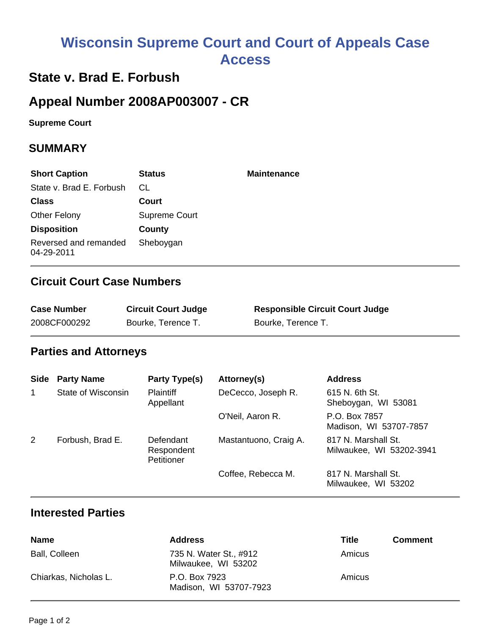# **Wisconsin Supreme Court and Court of Appeals Case Access**

## **State v. Brad E. Forbush**

# **Appeal Number 2008AP003007 - CR**

**Supreme Court** 

#### **SUMMARY**

| <b>Short Caption</b>                | <b>Status</b> | <b>Maintenance</b> |
|-------------------------------------|---------------|--------------------|
| State v. Brad E. Forbush            | CL            |                    |
| <b>Class</b>                        | Court         |                    |
| <b>Other Felony</b>                 | Supreme Court |                    |
| <b>Disposition</b>                  | County        |                    |
| Reversed and remanded<br>04-29-2011 | Sheboygan     |                    |

#### **Circuit Court Case Numbers**

| <b>Case Number</b> | <b>Circuit Court Judge</b> | <b>Responsible Circuit Court Judge</b> |
|--------------------|----------------------------|----------------------------------------|
| 2008CF000292       | Bourke, Terence T.         | Bourke, Terence T.                     |

#### **Parties and Attorneys**

| <b>Side</b>  | <b>Party Name</b>  | Party Type(s)                         | Attorney(s)           | <b>Address</b>                                  |
|--------------|--------------------|---------------------------------------|-----------------------|-------------------------------------------------|
| $\mathbf{1}$ | State of Wisconsin | <b>Plaintiff</b><br>Appellant         | DeCecco, Joseph R.    | 615 N. 6th St.<br>Sheboygan, WI 53081           |
|              |                    |                                       | O'Neil, Aaron R.      | P.O. Box 7857<br>Madison, WI 53707-7857         |
| 2            | Forbush, Brad E.   | Defendant<br>Respondent<br>Petitioner | Mastantuono, Craig A. | 817 N. Marshall St.<br>Milwaukee, WI 53202-3941 |
|              |                    |                                       | Coffee, Rebecca M.    | 817 N. Marshall St.<br>Milwaukee, WI 53202      |

#### **Interested Parties**

| <b>Name</b>           | <b>Address</b>                                | Title  | <b>Comment</b> |
|-----------------------|-----------------------------------------------|--------|----------------|
| Ball, Colleen         | 735 N. Water St., #912<br>Milwaukee, WI 53202 | Amicus |                |
| Chiarkas, Nicholas L. | P.O. Box 7923<br>Madison, WI 53707-7923       | Amicus |                |